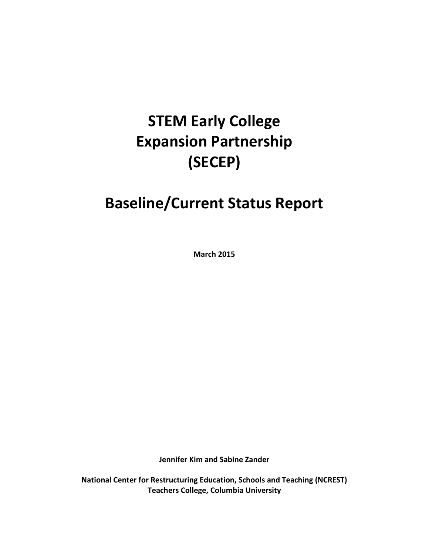# **STEM Early College Expansion Partnership (SECEP)**

# **Baseline/Current Status Report**

**March 2015**

**Jennifer Kim and Sabine Zander**

**National Center for Restructuring Education, Schools and Teaching (NCREST) Teachers College, Columbia University**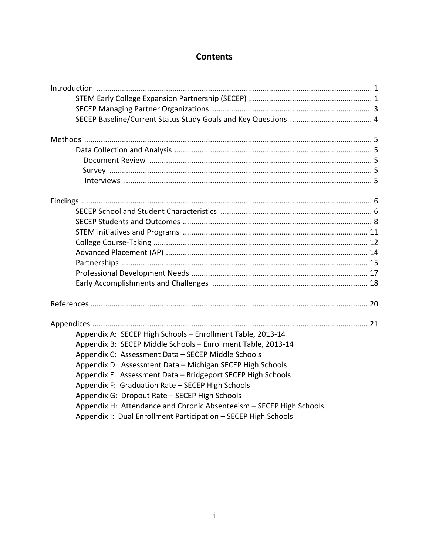## **Contents**

| Appendix A: SECEP High Schools - Enrollment Table, 2013-14          |
|---------------------------------------------------------------------|
| Appendix B: SECEP Middle Schools - Enrollment Table, 2013-14        |
| Appendix C: Assessment Data - SECEP Middle Schools                  |
| Appendix D: Assessment Data - Michigan SECEP High Schools           |
| Appendix E: Assessment Data - Bridgeport SECEP High Schools         |
| Appendix F: Graduation Rate - SECEP High Schools                    |
| Appendix G: Dropout Rate - SECEP High Schools                       |
| Appendix H: Attendance and Chronic Absenteeism - SECEP High Schools |
| Appendix I: Dual Enrollment Participation - SECEP High Schools      |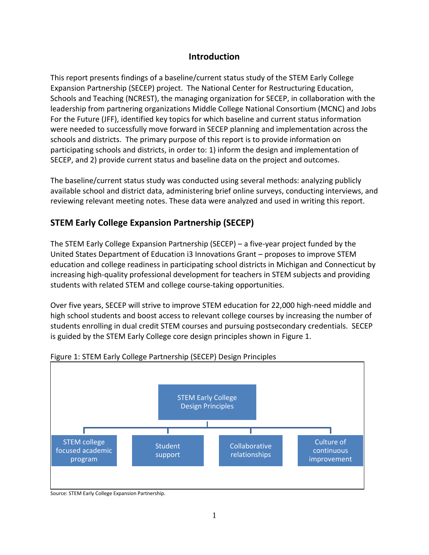## **Introduction**

This report presents findings of a baseline/current status study of the STEM Early College Expansion Partnership (SECEP) project. The National Center for Restructuring Education, Schools and Teaching (NCREST), the managing organization for SECEP, in collaboration with the leadership from partnering organizations Middle College National Consortium (MCNC) and Jobs For the Future (JFF), identified key topics for which baseline and current status information were needed to successfully move forward in SECEP planning and implementation across the schools and districts. The primary purpose of this report is to provide information on participating schools and districts, in order to: 1) inform the design and implementation of SECEP, and 2) provide current status and baseline data on the project and outcomes.

The baseline/current status study was conducted using several methods: analyzing publicly available school and district data, administering brief online surveys, conducting interviews, and reviewing relevant meeting notes. These data were analyzed and used in writing this report.

# **STEM Early College Expansion Partnership (SECEP)**

The STEM Early College Expansion Partnership (SECEP) – a five-year project funded by the United States Department of Education i3 Innovations Grant – proposes to improve STEM education and college readiness in participating school districts in Michigan and Connecticut by increasing high-quality professional development for teachers in STEM subjects and providing students with related STEM and college course-taking opportunities.

Over five years, SECEP will strive to improve STEM education for 22,000 high-need middle and high school students and boost access to relevant college courses by increasing the number of students enrolling in dual credit STEM courses and pursuing postsecondary credentials. SECEP is guided by the STEM Early College core design principles shown in Figure 1.



## Figure 1: STEM Early College Partnership (SECEP) Design Principles

Source: STEM Early College Expansion Partnership.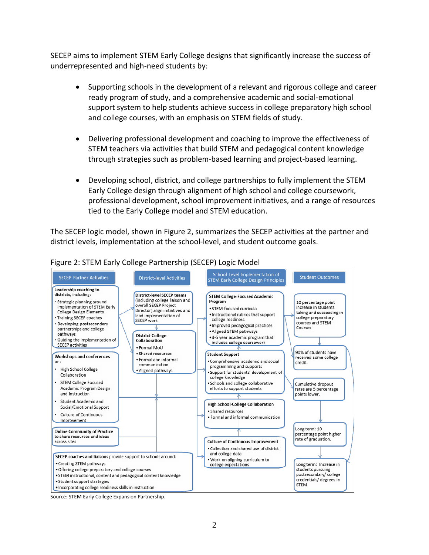SECEP aims to implement STEM Early College designs that significantly increase the success of underrepresented and high-need students by:

- Supporting schools in the development of a relevant and rigorous college and career ready program of study, and a comprehensive academic and social-emotional support system to help students achieve success in college preparatory high school and college courses, with an emphasis on STEM fields of study.
- Delivering professional development and coaching to improve the effectiveness of STEM teachers via activities that build STEM and pedagogical content knowledge through strategies such as problem-based learning and project-based learning.
- Developing school, district, and college partnerships to fully implement the STEM Early College design through alignment of high school and college coursework, professional development, school improvement initiatives, and a range of resources tied to the Early College model and STEM education.

The SECEP logic model, shown in Figure 2, summarizes the SECEP activities at the partner and district levels, implementation at the school-level, and student outcome goals.



## Figure 2: STEM Early College Partnership (SECEP) Logic Model

Source: STEM Early College Expansion Partnership.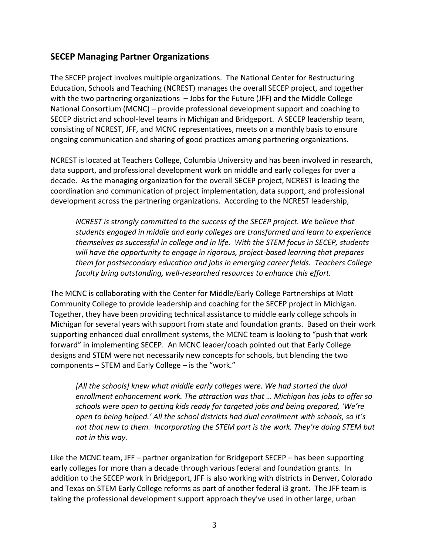## **SECEP Managing Partner Organizations**

The SECEP project involves multiple organizations. The National Center for Restructuring Education, Schools and Teaching (NCREST) manages the overall SECEP project, and together with the two partnering organizations – Jobs for the Future (JFF) and the Middle College National Consortium (MCNC) – provide professional development support and coaching to SECEP district and school-level teams in Michigan and Bridgeport. A SECEP leadership team, consisting of NCREST, JFF, and MCNC representatives, meets on a monthly basis to ensure ongoing communication and sharing of good practices among partnering organizations.

NCREST is located at Teachers College, Columbia University and has been involved in research, data support, and professional development work on middle and early colleges for over a decade. As the managing organization for the overall SECEP project, NCREST is leading the coordination and communication of project implementation, data support, and professional development across the partnering organizations. According to the NCREST leadership,

*NCREST is strongly committed to the success of the SECEP project. We believe that students engaged in middle and early colleges are transformed and learn to experience themselves as successful in college and in life. With the STEM focus in SECEP, students will have the opportunity to engage in rigorous, project-based learning that prepares them for postsecondary education and jobs in emerging career fields. Teachers College faculty bring outstanding, well-researched resources to enhance this effort.*

The MCNC is collaborating with the Center for Middle/Early College Partnerships at Mott Community College to provide leadership and coaching for the SECEP project in Michigan. Together, they have been providing technical assistance to middle early college schools in Michigan for several years with support from state and foundation grants. Based on their work supporting enhanced dual enrollment systems, the MCNC team is looking to "push that work forward" in implementing SECEP. An MCNC leader/coach pointed out that Early College designs and STEM were not necessarily new concepts for schools, but blending the two components – STEM and Early College – is the "work."

*[All the schools] knew what middle early colleges were. We had started the dual enrollment enhancement work. The attraction was that … Michigan has jobs to offer so schools were open to getting kids ready for targeted jobs and being prepared, 'We're open to being helped.' All the school districts had dual enrollment with schools, so it's not that new to them. Incorporating the STEM part is the work. They're doing STEM but not in this way.*

Like the MCNC team, JFF – partner organization for Bridgeport SECEP – has been supporting early colleges for more than a decade through various federal and foundation grants. In addition to the SECEP work in Bridgeport, JFF is also working with districts in Denver, Colorado and Texas on STEM Early College reforms as part of another federal i3 grant. The JFF team is taking the professional development support approach they've used in other large, urban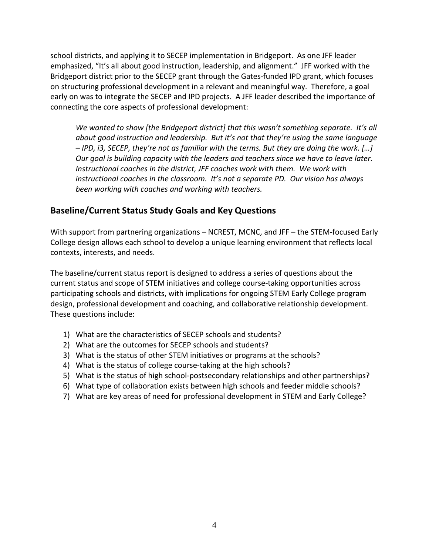school districts, and applying it to SECEP implementation in Bridgeport. As one JFF leader emphasized, "It's all about good instruction, leadership, and alignment." JFF worked with the Bridgeport district prior to the SECEP grant through the Gates-funded IPD grant, which focuses on structuring professional development in a relevant and meaningful way. Therefore, a goal early on was to integrate the SECEP and IPD projects. A JFF leader described the importance of connecting the core aspects of professional development:

*We wanted to show [the Bridgeport district] that this wasn't something separate. It's all about good instruction and leadership. But it's not that they're using the same language – IPD, i3, SECEP, they're not as familiar with the terms. But they are doing the work. […] Our goal is building capacity with the leaders and teachers since we have to leave later. Instructional coaches in the district, JFF coaches work with them. We work with instructional coaches in the classroom. It's not a separate PD. Our vision has always been working with coaches and working with teachers.* 

## **Baseline/Current Status Study Goals and Key Questions**

With support from partnering organizations – NCREST, MCNC, and JFF – the STEM-focused Early College design allows each school to develop a unique learning environment that reflects local contexts, interests, and needs.

The baseline/current status report is designed to address a series of questions about the current status and scope of STEM initiatives and college course-taking opportunities across participating schools and districts, with implications for ongoing STEM Early College program design, professional development and coaching, and collaborative relationship development. These questions include:

- 1) What are the characteristics of SECEP schools and students?
- 2) What are the outcomes for SECEP schools and students?
- 3) What is the status of other STEM initiatives or programs at the schools?
- 4) What is the status of college course-taking at the high schools?
- 5) What is the status of high school-postsecondary relationships and other partnerships?
- 6) What type of collaboration exists between high schools and feeder middle schools?
- 7) What are key areas of need for professional development in STEM and Early College?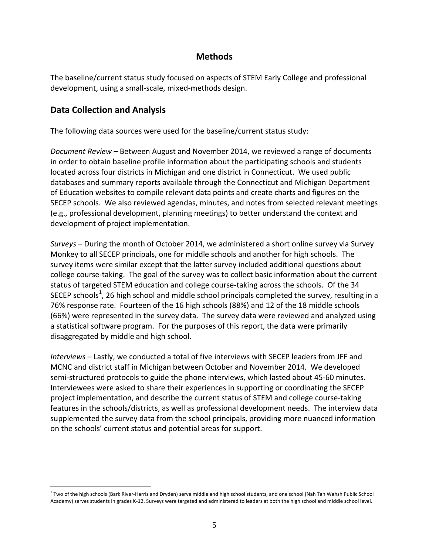## **Methods**

The baseline/current status study focused on aspects of STEM Early College and professional development, using a small-scale, mixed-methods design.

## **Data Collection and Analysis**

The following data sources were used for the baseline/current status study:

*Document Review* – Between August and November 2014, we reviewed a range of documents in order to obtain baseline profile information about the participating schools and students located across four districts in Michigan and one district in Connecticut. We used public databases and summary reports available through the Connecticut and Michigan Department of Education websites to compile relevant data points and create charts and figures on the SECEP schools. We also reviewed agendas, minutes, and notes from selected relevant meetings (e.g., professional development, planning meetings) to better understand the context and development of project implementation.

*Surveys* – During the month of October 2014, we administered a short online survey via Survey Monkey to all SECEP principals, one for middle schools and another for high schools. The survey items were similar except that the latter survey included additional questions about college course-taking. The goal of the survey was to collect basic information about the current status of targeted STEM education and college course-taking across the schools. Of the 34 SECEP schools<sup>[1](#page-6-0)</sup>, 26 high school and middle school principals completed the survey, resulting in a 76% response rate. Fourteen of the 16 high schools (88%) and 12 of the 18 middle schools (66%) were represented in the survey data. The survey data were reviewed and analyzed using a statistical software program. For the purposes of this report, the data were primarily disaggregated by middle and high school.

*Interviews* – Lastly, we conducted a total of five interviews with SECEP leaders from JFF and MCNC and district staff in Michigan between October and November 2014. We developed semi-structured protocols to guide the phone interviews, which lasted about 45-60 minutes. Interviewees were asked to share their experiences in supporting or coordinating the SECEP project implementation, and describe the current status of STEM and college course-taking features in the schools/districts, as well as professional development needs. The interview data supplemented the survey data from the school principals, providing more nuanced information on the schools' current status and potential areas for support.

<span id="page-6-0"></span><sup>&</sup>lt;sup>1</sup> Two of the high schools (Bark River-Harris and Dryden) serve middle and high school students, and one school (Nah Tah Wahsh Public School Academy) serves students in grades K-12. Surveys were targeted and administered to leaders at both the high school and middle school level.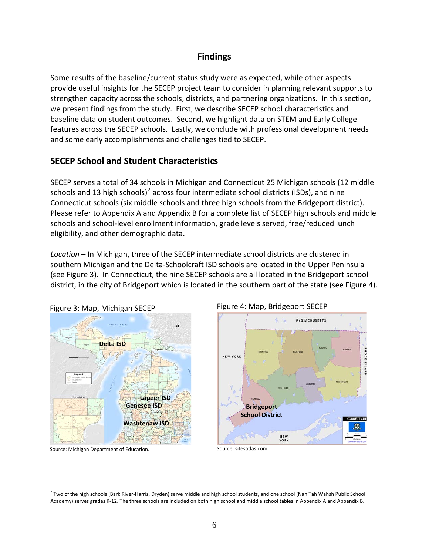## **Findings**

Some results of the baseline/current status study were as expected, while other aspects provide useful insights for the SECEP project team to consider in planning relevant supports to strengthen capacity across the schools, districts, and partnering organizations. In this section, we present findings from the study. First, we describe SECEP school characteristics and baseline data on student outcomes. Second, we highlight data on STEM and Early College features across the SECEP schools. Lastly, we conclude with professional development needs and some early accomplishments and challenges tied to SECEP.

## **SECEP School and Student Characteristics**

SECEP serves a total of 34 schools in Michigan and Connecticut 25 Michigan schools (12 middle schools and 13 high schools)<sup>[2](#page-7-0)</sup> across four intermediate school districts (ISDs), and nine Connecticut schools (six middle schools and three high schools from the Bridgeport district). Please refer to Appendix A and Appendix B for a complete list of SECEP high schools and middle schools and school-level enrollment information, grade levels served, free/reduced lunch eligibility, and other demographic data.

*Location* – In Michigan, three of the SECEP intermediate school districts are clustered in southern Michigan and the Delta-Schoolcraft ISD schools are located in the Upper Peninsula (see Figure 3). In Connecticut, the nine SECEP schools are all located in the Bridgeport school district, in the city of Bridgeport which is located in the southern part of the state (see Figure 4).



Figure 3: Map, Michigan SECEP

Source: Michigan Department of Education.





Source: sitesatlas.com

<span id="page-7-0"></span><sup>&</sup>lt;sup>2</sup> Two of the high schools (Bark River-Harris, Dryden) serve middle and high school students, and one school (Nah Tah Wahsh Public School Academy) serves grades K-12. The three schools are included on both high school and middle school tables in Appendix A and Appendix B.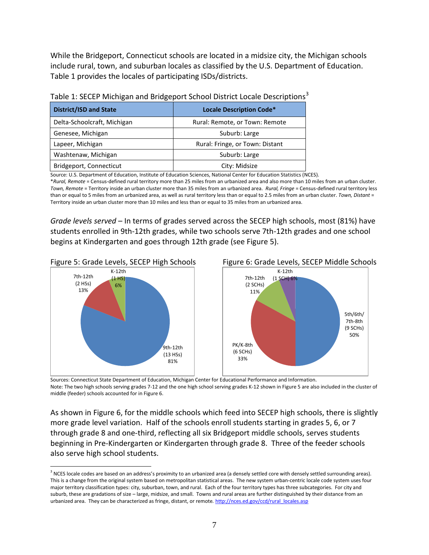While the Bridgeport, Connecticut schools are located in a midsize city, the Michigan schools include rural, town, and suburban locales as classified by the U.S. Department of Education. Table 1 provides the locales of participating ISDs/districts.

| <b>District/ISD and State</b> | <b>Locale Description Code*</b> |
|-------------------------------|---------------------------------|
| Delta-Schoolcraft, Michigan   | Rural: Remote, or Town: Remote  |
| Genesee, Michigan             | Suburb: Large                   |
| Lapeer, Michigan              | Rural: Fringe, or Town: Distant |
| Washtenaw, Michigan           | Suburb: Large                   |
| Bridgeport, Connecticut       | City: Midsize                   |

Table 1: SECEP Michigan and Bridgeport School District Locale Descriptions<sup>[3](#page-8-0)</sup>

Source: U.S. Department of Education, Institute of Education Sciences, National Center for Education Statistics (NCES).

\**Rural, Remote* = Census-defined rural territory more than 25 miles from an urbanized area and also more than 10 miles from an urban cluster. *Town, Remote* = Territory inside an urban cluster more than 35 miles from an urbanized area. *Rural, Fringe* = Census-defined rural territory less than or equal to 5 miles from an urbanized area, as well as rural territory less than or equal to 2.5 miles from an urban cluster. *Town, Distant* = Territory inside an urban cluster more than 10 miles and less than or equal to 35 miles from an urbanized area.

*Grade levels served* – In terms of grades served across the SECEP high schools, most (81%) have students enrolled in 9th-12th grades, while two schools serve 7th-12th grades and one school begins at Kindergarten and goes through 12th grade (see Figure 5).





 Sources: Connecticut State Department of Education, Michigan Center for Educational Performance and Information. Note: The two high schools serving grades 7-12 and the one high school serving grades K-12 shown in Figure 5 are also included in the cluster of middle (feeder) schools accounted for in Figure 6.

As shown in Figure 6, for the middle schools which feed into SECEP high schools, there is slightly more grade level variation. Half of the schools enroll students starting in grades 5, 6, or 7 through grade 8 and one-third, reflecting all six Bridgeport middle schools, serves students beginning in Pre-Kindergarten or Kindergarten through grade 8. Three of the feeder schools also serve high school students.

<span id="page-8-0"></span><sup>&</sup>lt;sup>3</sup> NCES locale codes are based on an address's proximity to an urbanized area (a densely settled core with densely settled surrounding areas). This is a change from the original system based on metropolitan statistical areas. The new system urban-centric locale code system uses four major territory classification types: city, suburban, town, and rural. Each of the four territory types has three subcategories. For city and suburb, these are gradations of size – large, midsize, and small. Towns and rural areas are further distinguished by their distance from an urbanized area. They can be characterized as fringe, distant, or remote. [http://nces.ed.gov/ccd/rural\\_locales.asp](http://nces.ed.gov/ccd/rural_locales.asp)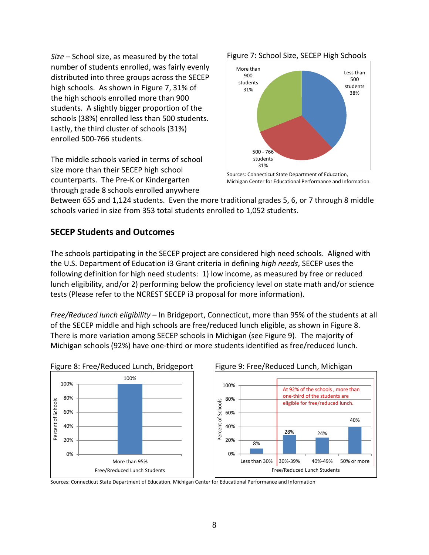*Size –* School size, as measured by the total number of students enrolled, was fairly evenly distributed into three groups across the SECEP high schools. As shown in Figure 7, 31% of the high schools enrolled more than 900 students. A slightly bigger proportion of the schools (38%) enrolled less than 500 students. Lastly, the third cluster of schools (31%) enrolled 500-766 students.

The middle schools varied in terms of school size more than their SECEP high school counterparts. The Pre-K or Kindergarten through grade 8 schools enrolled anywhere





Sources: Connecticut State Department of Education, Michigan Center for Educational Performance and Information.

Between 655 and 1,124 students. Even the more traditional grades 5, 6, or 7 through 8 middle schools varied in size from 353 total students enrolled to 1,052 students.

## **SECEP Students and Outcomes**

The schools participating in the SECEP project are considered high need schools. Aligned with the U.S. Department of Education i3 Grant criteria in defining *high needs*, SECEP uses the following definition for high need students: 1) low income, as measured by free or reduced lunch eligibility, and/or 2) performing below the proficiency level on state math and/or science tests (Please refer to the NCREST SECEP i3 proposal for more information).

*Free/Reduced lunch eligibility* – In Bridgeport, Connecticut, more than 95% of the students at all of the SECEP middle and high schools are free/reduced lunch eligible, as shown in Figure 8. There is more variation among SECEP schools in Michigan (see Figure 9). The majority of Michigan schools (92%) have one-third or more students identified as free/reduced lunch.





Sources: Connecticut State Department of Education, Michigan Center for Educational Performance and Information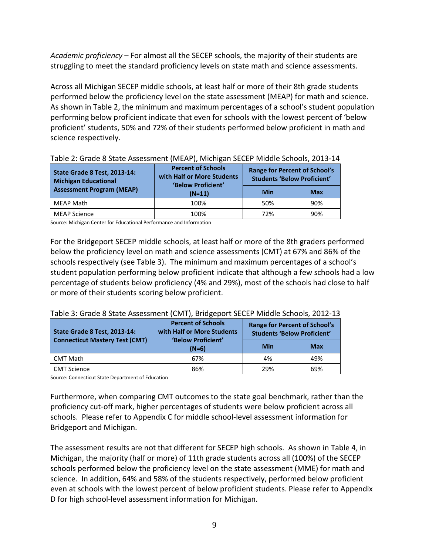*Academic proficiency* – For almost all the SECEP schools, the majority of their students are struggling to meet the standard proficiency levels on state math and science assessments.

Across all Michigan SECEP middle schools, at least half or more of their 8th grade students performed below the proficiency level on the state assessment (MEAP) for math and science. As shown in Table 2, the minimum and maximum percentages of a school's student population performing below proficient indicate that even for schools with the lowest percent of 'below proficient' students, 50% and 72% of their students performed below proficient in math and science respectively.

| <b>State Grade 8 Test, 2013-14:</b><br><b>Michigan Educational</b> | <b>Percent of Schools</b><br>with Half or More Students<br>'Below Proficient' | <b>Range for Percent of School's</b><br><b>Students 'Below Proficient'</b> |            |  |
|--------------------------------------------------------------------|-------------------------------------------------------------------------------|----------------------------------------------------------------------------|------------|--|
| <b>Assessment Program (MEAP)</b>                                   | $(N=11)$                                                                      | Min                                                                        | <b>Max</b> |  |
| MEAP Math                                                          | 100%                                                                          | 50%                                                                        | 90%        |  |
| <b>MEAP Science</b>                                                | 100%                                                                          | 72%                                                                        | 90%        |  |

| Table 2: Grade 8 State Assessment (MEAP), Michigan SECEP Middle Schools, 2013-14 |  |  |
|----------------------------------------------------------------------------------|--|--|
|                                                                                  |  |  |

Source: Michigan Center for Educational Performance and Information

For the Bridgeport SECEP middle schools, at least half or more of the 8th graders performed below the proficiency level on math and science assessments (CMT) at 67% and 86% of the schools respectively (see Table 3). The minimum and maximum percentages of a school's student population performing below proficient indicate that although a few schools had a low percentage of students below proficiency (4% and 29%), most of the schools had close to half or more of their students scoring below proficient.

Table 3: Grade 8 State Assessment (CMT), Bridgeport SECEP Middle Schools, 2012-13

| <b>State Grade 8 Test, 2013-14:</b>   | <b>Percent of Schools</b><br>with Half or More Students<br>'Below Proficient' | <b>Range for Percent of School's</b><br><b>Students 'Below Proficient'</b> |     |  |
|---------------------------------------|-------------------------------------------------------------------------------|----------------------------------------------------------------------------|-----|--|
| <b>Connecticut Mastery Test (CMT)</b> | $(N=6)$                                                                       | Min                                                                        | Max |  |
| <b>CMT Math</b>                       | 67%                                                                           | 4%                                                                         | 49% |  |
| <b>CMT Science</b>                    | 86%                                                                           | 29%                                                                        | 69% |  |

Source: Connecticut State Department of Education

Furthermore, when comparing CMT outcomes to the state goal benchmark, rather than the proficiency cut-off mark, higher percentages of students were below proficient across all schools. Please refer to Appendix C for middle school-level assessment information for Bridgeport and Michigan.

The assessment results are not that different for SECEP high schools. As shown in Table 4, in Michigan, the majority (half or more) of 11th grade students across all (100%) of the SECEP schools performed below the proficiency level on the state assessment (MME) for math and science. In addition, 64% and 58% of the students respectively, performed below proficient even at schools with the lowest percent of below proficient students. Please refer to Appendix D for high school-level assessment information for Michigan.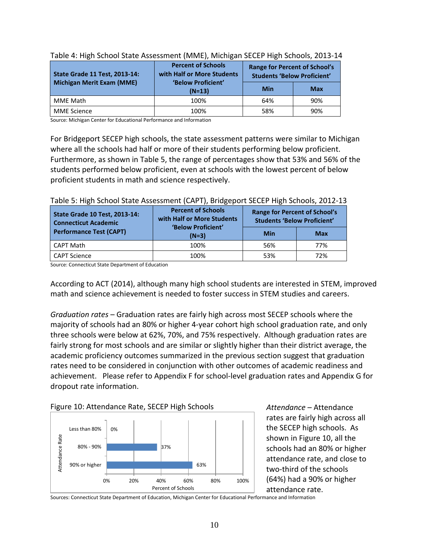| <b>State Grade 11 Test, 2013-14:</b> | <b>Percent of Schools</b><br>with Half or More Students | <b>Range for Percent of School's</b><br><b>Students 'Below Proficient'</b> |            |  |
|--------------------------------------|---------------------------------------------------------|----------------------------------------------------------------------------|------------|--|
| <b>Michigan Merit Exam (MME)</b>     | 'Below Proficient'<br>$(N=13)$                          | Min                                                                        | <b>Max</b> |  |
| MME Math                             | 100%                                                    | 64%                                                                        | 90%        |  |
| MME Science                          | 100%                                                    | 58%                                                                        | 90%        |  |

| Table 4: High School State Assessment (MME), Michigan SECEP High Schools, 2013-14 |  |  |  |  |
|-----------------------------------------------------------------------------------|--|--|--|--|
|-----------------------------------------------------------------------------------|--|--|--|--|

Source: Michigan Center for Educational Performance and Information

For Bridgeport SECEP high schools, the state assessment patterns were similar to Michigan where all the schools had half or more of their students performing below proficient. Furthermore, as shown in Table 5, the range of percentages show that 53% and 56% of the students performed below proficient, even at schools with the lowest percent of below proficient students in math and science respectively.

| Table 5. High School State Assessment (CAFT), DHugeport SECEFTIIGH Schools, 2012 13 |                                                                               |                                                                            |            |  |  |  |
|-------------------------------------------------------------------------------------|-------------------------------------------------------------------------------|----------------------------------------------------------------------------|------------|--|--|--|
| <b>State Grade 10 Test, 2013-14:</b><br><b>Connecticut Academic</b>                 | <b>Percent of Schools</b><br>with Half or More Students<br>'Below Proficient' | <b>Range for Percent of School's</b><br><b>Students 'Below Proficient'</b> |            |  |  |  |
| <b>Performance Test (CAPT)</b>                                                      | $(N=3)$                                                                       | Min                                                                        | <b>Max</b> |  |  |  |
| CAPT Math                                                                           | 100%                                                                          | 56%                                                                        | 77%        |  |  |  |
| CAPT Science                                                                        | 100%                                                                          | 53%                                                                        | 72%        |  |  |  |

#### Table 5: High School State Assessment (CAPT), Bridgeport SECEP High Schools, 2012-13

Source: Connecticut State Department of Education

According to ACT (2014), although many high school students are interested in STEM, improved math and science achievement is needed to foster success in STEM studies and careers.

*Graduation rates* – Graduation rates are fairly high across most SECEP schools where the majority of schools had an 80% or higher 4-year cohort high school graduation rate, and only three schools were below at 62%, 70%, and 75% respectively. Although graduation rates are fairly strong for most schools and are similar or slightly higher than their district average, the academic proficiency outcomes summarized in the previous section suggest that graduation rates need to be considered in conjunction with other outcomes of academic readiness and achievement. Please refer to Appendix F for school-level graduation rates and Appendix G for dropout rate information.





*Attendance* – Attendance rates are fairly high across all the SECEP high schools. As shown in Figure 10, all the schools had an 80% or higher attendance rate, and close to two-third of the schools (64%) had a 90% or higher attendance rate.

Sources: Connecticut State Department of Education, Michigan Center for Educational Performance and Information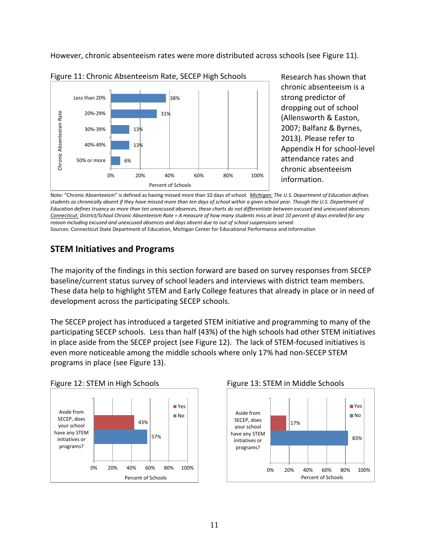However, chronic absenteeism rates were more distributed across schools (see Figure 11).



Figure 11: Chronic Absenteeism Rate, SECEP High Schools

Research has shown that chronic absenteeism is a strong predictor of dropping out of school (Allensworth & Easton, 2007; Balfanz & Byrnes, 2013). Please refer to Appendix H for school-level attendance rates and chronic absenteeism information.

Note: "Chronic Absenteeism" is defined as having missed more than 10 days of school. *Michigan: The U.S. Department of Education defines students as chronically absent if they have missed more than ten days of school within a given school year. Though the U.S. Department of Education defines truancy as more than ten unexcused absences, these charts do not differentiate between excused and unexcused absences. Connecticut: District/School Chronic Absenteeism Rate = A measure of how many students miss at least 10 percent of days enrolled for any reason including excused and unexcused absences and days absent due to out of school suspensions served.* Sources: Connecticut State Department of Education, Michigan Center for Educational Performance and Information

## **STEM Initiatives and Programs**

The majority of the findings in this section forward are based on survey responses from SECEP baseline/current status survey of school leaders and interviews with district team members. These data help to highlight STEM and Early College features that already in place or in need of development across the participating SECEP schools.

The SECEP project has introduced a targeted STEM initiative and programming to many of the participating SECEP schools. Less than half (43%) of the high schools had other STEM initiatives in place aside from the SECEP project (see Figure 12). The lack of STEM-focused initiatives is even more noticeable among the middle schools where only 17% had non-SECEP STEM programs in place (see Figure 13).





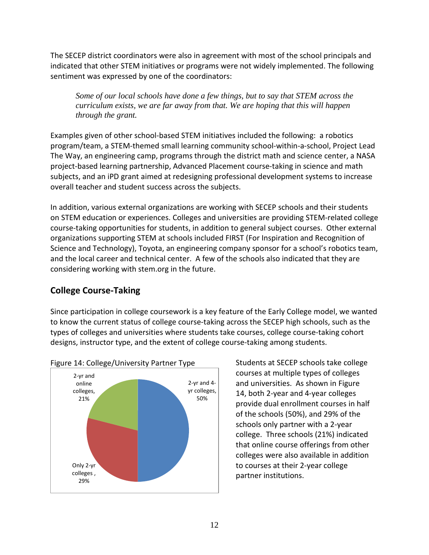The SECEP district coordinators were also in agreement with most of the school principals and indicated that other STEM initiatives or programs were not widely implemented. The following sentiment was expressed by one of the coordinators:

*Some of our local schools have done a few things, but to say that STEM across the curriculum exists, we are far away from that. We are hoping that this will happen through the grant.*

Examples given of other school-based STEM initiatives included the following: a robotics program/team, a STEM-themed small learning community school-within-a-school, Project Lead The Way, an engineering camp, programs through the district math and science center, a NASA project-based learning partnership, Advanced Placement course-taking in science and math subjects, and an iPD grant aimed at redesigning professional development systems to increase overall teacher and student success across the subjects.

In addition, various external organizations are working with SECEP schools and their students on STEM education or experiences. Colleges and universities are providing STEM-related college course-taking opportunities for students, in addition to general subject courses. Other external organizations supporting STEM at schools included FIRST (For Inspiration and Recognition of Science and Technology), Toyota, an engineering company sponsor for a school's robotics team, and the local career and technical center. A few of the schools also indicated that they are considering working with stem.org in the future.

# **College Course-Taking**

Since participation in college coursework is a key feature of the Early College model, we wanted to know the current status of college course-taking across the SECEP high schools, such as the types of colleges and universities where students take courses, college course-taking cohort designs, instructor type, and the extent of college course-taking among students.



# Figure 14: College/University Partner Type

Students at SECEP schools take college courses at multiple types of colleges and universities. As shown in Figure 14, both 2-year and 4-year colleges provide dual enrollment courses in half of the schools (50%), and 29% of the schools only partner with a 2-year college. Three schools (21%) indicated that online course offerings from other colleges were also available in addition to courses at their 2-year college partner institutions.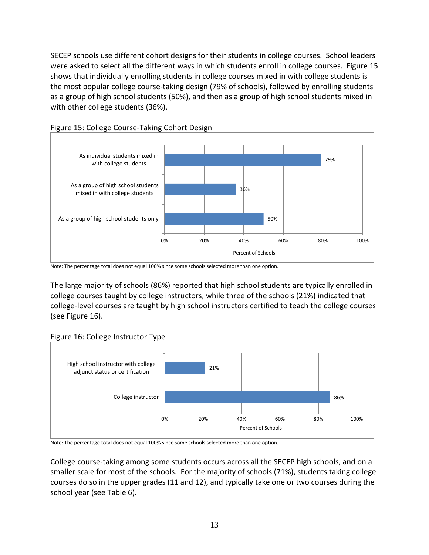SECEP schools use different cohort designs for their students in college courses. School leaders were asked to select all the different ways in which students enroll in college courses. Figure 15 shows that individually enrolling students in college courses mixed in with college students is the most popular college course-taking design (79% of schools), followed by enrolling students as a group of high school students (50%), and then as a group of high school students mixed in with other college students (36%).





The large majority of schools (86%) reported that high school students are typically enrolled in college courses taught by college instructors, while three of the schools (21%) indicated that college-level courses are taught by high school instructors certified to teach the college courses (see Figure 16).





Note: The percentage total does not equal 100% since some schools selected more than one option.

College course-taking among some students occurs across all the SECEP high schools, and on a smaller scale for most of the schools. For the majority of schools (71%), students taking college courses do so in the upper grades (11 and 12), and typically take one or two courses during the school year (see Table 6).

Note: The percentage total does not equal 100% since some schools selected more than one option.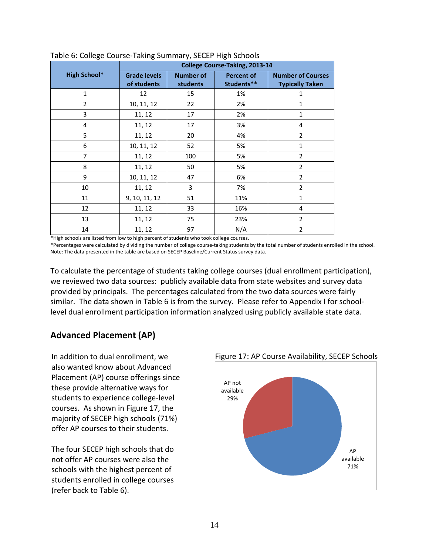|                     | <b>College Course-Taking, 2013-14</b> |                              |                                 |                                                    |
|---------------------|---------------------------------------|------------------------------|---------------------------------|----------------------------------------------------|
| <b>High School*</b> | <b>Grade levels</b><br>of students    | <b>Number of</b><br>students | <b>Percent of</b><br>Students** | <b>Number of Courses</b><br><b>Typically Taken</b> |
| $\mathbf{1}$        | 12                                    | 15                           | 1%                              | 1                                                  |
| $\overline{2}$      | 10, 11, 12                            | 22                           | 2%                              | 1                                                  |
| 3                   | 11, 12                                | 17                           | 2%                              | 1                                                  |
| 4                   | 11, 12                                | 17                           | 3%                              | 4                                                  |
| 5                   | 11, 12                                | 20                           | 4%                              | $\overline{2}$                                     |
| 6                   | 10, 11, 12                            | 52                           | 5%                              | $\mathbf{1}$                                       |
| 7                   | 11, 12                                | 100                          | 5%                              | $\overline{2}$                                     |
| 8                   | 11, 12                                | 50                           | 5%                              | $\overline{2}$                                     |
| 9                   | 10, 11, 12                            | 47                           | 6%                              | $\overline{2}$                                     |
| 10                  | 11, 12                                | 3                            | 7%                              | $\overline{2}$                                     |
| 11                  | 9, 10, 11, 12                         | 51                           | 11%                             | 1                                                  |
| 12                  | 11, 12                                | 33                           | 16%                             | 4                                                  |
| 13                  | 11, 12                                | 75                           | 23%                             | $\overline{2}$                                     |
| 14                  | 11, 12                                | 97                           | N/A                             | $\overline{2}$                                     |

Table 6: College Course-Taking Summary, SECEP High Schools

\*High schools are listed from low to high percent of students who took college courses.

\*Percentages were calculated by dividing the number of college course-taking students by the total number of students enrolled in the school. Note: The data presented in the table are based on SECEP Baseline/Current Status survey data.

To calculate the percentage of students taking college courses (dual enrollment participation), we reviewed two data sources: publicly available data from state websites and survey data provided by principals. The percentages calculated from the two data sources were fairly similar. The data shown in Table 6 is from the survey. Please refer to Appendix I for schoollevel dual enrollment participation information analyzed using publicly available state data.

## **Advanced Placement (AP)**

In addition to dual enrollment, we also wanted know about Advanced Placement (AP) course offerings since these provide alternative ways for students to experience college-level courses. As shown in Figure 17, the majority of SECEP high schools (71%) offer AP courses to their students.

The four SECEP high schools that do not offer AP courses were also the schools with the highest percent of students enrolled in college courses (refer back to Table 6).



Figure 17: AP Course Availability, SECEP Schools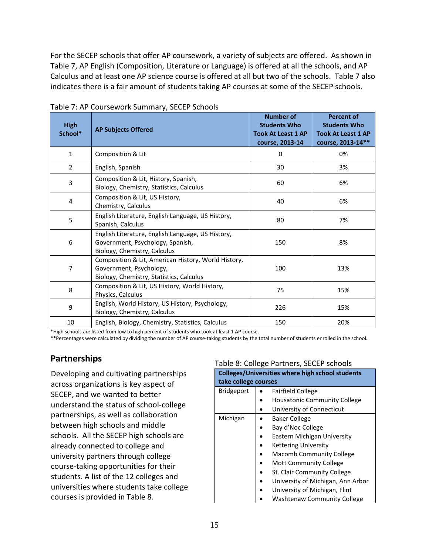For the SECEP schools that offer AP coursework, a variety of subjects are offered. As shown in Table 7, AP English (Composition, Literature or Language) is offered at all the schools, and AP Calculus and at least one AP science course is offered at all but two of the schools. Table 7 also indicates there is a fair amount of students taking AP courses at some of the SECEP schools.

| <b>High</b><br>School* | <b>AP Subjects Offered</b>                                                                                                 | <b>Number of</b><br><b>Students Who</b><br><b>Took At Least 1 AP</b><br>course, 2013-14 | <b>Percent of</b><br><b>Students Who</b><br><b>Took At Least 1 AP</b><br>course, 2013-14** |
|------------------------|----------------------------------------------------------------------------------------------------------------------------|-----------------------------------------------------------------------------------------|--------------------------------------------------------------------------------------------|
| $\mathbf{1}$           | Composition & Lit                                                                                                          | 0                                                                                       | 0%                                                                                         |
| $\overline{2}$         | English, Spanish                                                                                                           | 30                                                                                      | 3%                                                                                         |
| $\overline{3}$         | Composition & Lit, History, Spanish,<br>Biology, Chemistry, Statistics, Calculus                                           | 60                                                                                      | 6%                                                                                         |
| 4                      | Composition & Lit, US History,<br>Chemistry, Calculus                                                                      | 40                                                                                      | 6%                                                                                         |
| 5                      | English Literature, English Language, US History,<br>Spanish, Calculus                                                     | 80                                                                                      | 7%                                                                                         |
| 6                      | English Literature, English Language, US History,<br>Government, Psychology, Spanish,<br>Biology, Chemistry, Calculus      | 150                                                                                     | 8%                                                                                         |
| 7                      | Composition & Lit, American History, World History,<br>Government, Psychology,<br>Biology, Chemistry, Statistics, Calculus | 100                                                                                     | 13%                                                                                        |
| 8                      | Composition & Lit, US History, World History,<br>Physics, Calculus                                                         | 75                                                                                      | 15%                                                                                        |
| 9                      | English, World History, US History, Psychology,<br>Biology, Chemistry, Calculus                                            | 226                                                                                     | 15%                                                                                        |
| 10                     | English, Biology, Chemistry, Statistics, Calculus                                                                          | 150                                                                                     | 20%                                                                                        |

Table 7: AP Coursework Summary, SECEP Schools

\*High schools are listed from low to high percent of students who took at least 1 AP course.

\*\*Percentages were calculated by dividing the number of AP course-taking students by the total number of students enrolled in the school.

## **Partnerships**

Developing and cultivating partnerships across organizations is key aspect of SECEP, and we wanted to better understand the status of school-college partnerships, as well as collaboration between high schools and middle schools. All the SECEP high schools are already connected to college and university partners through college course-taking opportunities for their students. A list of the 12 colleges and universities where students take college courses is provided in Table 8.

#### Table 8: College Partners, SECEP schools

|                      | $1812$ or concrete the chero, officially<br><b>Colleges/Universities where high school students</b> |  |  |  |  |
|----------------------|-----------------------------------------------------------------------------------------------------|--|--|--|--|
| take college courses |                                                                                                     |  |  |  |  |
| <b>Bridgeport</b>    | <b>Fairfield College</b>                                                                            |  |  |  |  |
|                      | <b>Housatonic Community College</b>                                                                 |  |  |  |  |
|                      | University of Connecticut                                                                           |  |  |  |  |
| Michigan             | <b>Baker College</b>                                                                                |  |  |  |  |
|                      | Bay d'Noc College                                                                                   |  |  |  |  |
|                      | Eastern Michigan University                                                                         |  |  |  |  |
|                      | <b>Kettering University</b>                                                                         |  |  |  |  |
|                      | <b>Macomb Community College</b>                                                                     |  |  |  |  |
|                      | <b>Mott Community College</b>                                                                       |  |  |  |  |
|                      | St. Clair Community College                                                                         |  |  |  |  |
|                      | University of Michigan, Ann Arbor                                                                   |  |  |  |  |
|                      | University of Michigan, Flint                                                                       |  |  |  |  |
|                      | Washtenaw Community College                                                                         |  |  |  |  |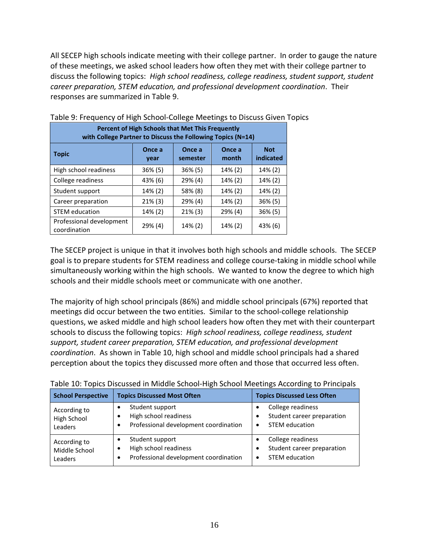All SECEP high schools indicate meeting with their college partner. In order to gauge the nature of these meetings, we asked school leaders how often they met with their college partner to discuss the following topics: *High school readiness, college readiness, student support, student career preparation, STEM education, and professional development coordination*. Their responses are summarized in Table 9.

| <b>Percent of High Schools that Met This Frequently</b><br>with College Partner to Discuss the Following Topics (N=14) |            |            |         |            |  |  |
|------------------------------------------------------------------------------------------------------------------------|------------|------------|---------|------------|--|--|
| Once a<br><b>Not</b><br>Once a<br>Once a<br><b>Topic</b><br>indicated<br>month<br>semester<br>year                     |            |            |         |            |  |  |
| High school readiness                                                                                                  | $36\% (5)$ | $36\%$ (5) | 14% (2) | 14% (2)    |  |  |
| College readiness                                                                                                      | 43% (6)    | $29\%$ (4) | 14% (2) | 14% (2)    |  |  |
| Student support                                                                                                        | 14% (2)    | 58% (8)    | 14% (2) | 14% (2)    |  |  |
| Career preparation                                                                                                     | $21\%$ (3) | 29% (4)    | 14% (2) | $36\%$ (5) |  |  |
| <b>STEM</b> education                                                                                                  | 14% (2)    | $21\%$ (3) | 29% (4) | $36\%$ (5) |  |  |
| Professional development<br>coordination                                                                               | 29% (4)    | 14% (2)    | 14% (2) | 43% (6)    |  |  |

## Table 9: Frequency of High School-College Meetings to Discuss Given Topics

The SECEP project is unique in that it involves both high schools and middle schools. The SECEP goal is to prepare students for STEM readiness and college course-taking in middle school while simultaneously working within the high schools. We wanted to know the degree to which high schools and their middle schools meet or communicate with one another.

The majority of high school principals (86%) and middle school principals (67%) reported that meetings did occur between the two entities. Similar to the school-college relationship questions, we asked middle and high school leaders how often they met with their counterpart schools to discuss the following topics: *High school readiness, college readiness, student support, student career preparation, STEM education, and professional development coordination*. As shown in Table 10, high school and middle school principals had a shared perception about the topics they discussed more often and those that occurred less often.

| <b>School Perspective</b> | <b>Topics Discussed Most Often</b>    | <b>Topics Discussed Less Often</b> |
|---------------------------|---------------------------------------|------------------------------------|
| According to              | Student support                       | College readiness                  |
| High School               | High school readiness                 | Student career preparation         |
| Leaders                   | Professional development coordination | <b>STEM education</b>              |
| According to              | Student support                       | College readiness                  |
| Middle School             | High school readiness                 | Student career preparation         |
| Leaders                   | Professional development coordination | <b>STEM education</b>              |

Table 10: Topics Discussed in Middle School-High School Meetings According to Principals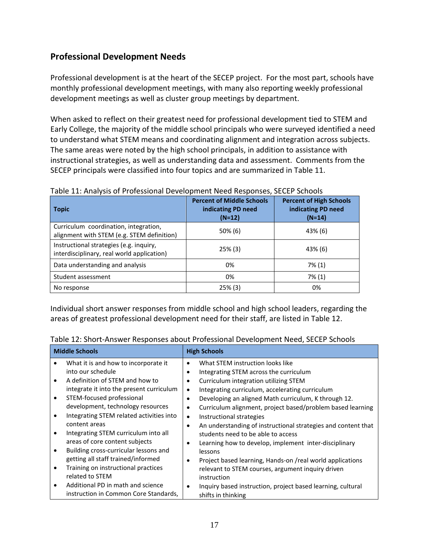## **Professional Development Needs**

Professional development is at the heart of the SECEP project. For the most part, schools have monthly professional development meetings, with many also reporting weekly professional development meetings as well as cluster group meetings by department.

When asked to reflect on their greatest need for professional development tied to STEM and Early College, the majority of the middle school principals who were surveyed identified a need to understand what STEM means and coordinating alignment and integration across subjects. The same areas were noted by the high school principals, in addition to assistance with instructional strategies, as well as understanding data and assessment. Comments from the SECEP principals were classified into four topics and are summarized in Table 11.

| <b>Topic</b>                                                                          | <b>Percent of Middle Schools</b><br>indicating PD need<br>$(N=12)$ | <b>Percent of High Schools</b><br>indicating PD need<br>$(N=14)$ |
|---------------------------------------------------------------------------------------|--------------------------------------------------------------------|------------------------------------------------------------------|
| Curriculum coordination, integration,<br>alignment with STEM (e.g. STEM definition)   | $50\%$ (6)                                                         | 43% (6)                                                          |
| Instructional strategies (e.g. inquiry,<br>interdisciplinary, real world application) | $25\%$ (3)                                                         | 43% (6)                                                          |
| Data understanding and analysis                                                       | 0%                                                                 | 7% (1)                                                           |
| Student assessment                                                                    | 0%                                                                 | 7% (1)                                                           |
| No response                                                                           | $25\%$ (3)                                                         | 0%                                                               |

| Table 11: Analysis of Professional Development Need Responses, SECEP Schools |  |  |
|------------------------------------------------------------------------------|--|--|
|                                                                              |  |  |
|                                                                              |  |  |

Individual short answer responses from middle school and high school leaders, regarding the areas of greatest professional development need for their staff, are listed in Table 12.

|           | <b>Middle Schools</b>                    | <b>High Schools</b>                                                        |
|-----------|------------------------------------------|----------------------------------------------------------------------------|
|           | What it is and how to incorporate it     | What STEM instruction looks like<br>٠                                      |
|           | into our schedule                        | Integrating STEM across the curriculum<br>٠                                |
|           | A definition of STEM and how to          | Curriculum integration utilizing STEM                                      |
|           | integrate it into the present curriculum | Integrating curriculum, accelerating curriculum<br>$\bullet$               |
| $\bullet$ | STEM-focused professional                | Developing an aligned Math curriculum, K through 12.<br>٠                  |
|           | development, technology resources        | Curriculum alignment, project based/problem based learning<br>٠            |
|           | Integrating STEM related activities into | Instructional strategies<br>$\bullet$                                      |
|           | content areas                            | An understanding of instructional strategies and content that<br>$\bullet$ |
|           | Integrating STEM curriculum into all     | students need to be able to access                                         |
|           | areas of core content subjects           | Learning how to develop, implement inter-disciplinary                      |
|           | Building cross-curricular lessons and    | lessons                                                                    |
|           | getting all staff trained/informed       | Project based learning, Hands-on /real world applications<br>٠             |
| $\bullet$ | Training on instructional practices      | relevant to STEM courses, argument inquiry driven                          |
|           | related to STEM                          | instruction                                                                |
| $\bullet$ | Additional PD in math and science        | Inquiry based instruction, project based learning, cultural<br>$\bullet$   |
|           | instruction in Common Core Standards,    | shifts in thinking                                                         |

| Table 12: Short-Answer Responses about Professional Development Need, SECEP Schools |  |  |  |
|-------------------------------------------------------------------------------------|--|--|--|
|-------------------------------------------------------------------------------------|--|--|--|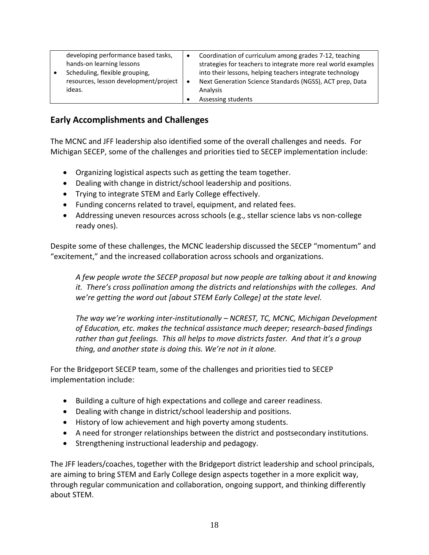| developing performance based tasks,<br>hands-on learning lessons<br>Scheduling, flexible grouping,<br>resources, lesson development/project | $\bullet$ | Coordination of curriculum among grades 7-12, teaching<br>strategies for teachers to integrate more real world examples<br>into their lessons, helping teachers integrate technology<br>Next Generation Science Standards (NGSS), ACT prep, Data |
|---------------------------------------------------------------------------------------------------------------------------------------------|-----------|--------------------------------------------------------------------------------------------------------------------------------------------------------------------------------------------------------------------------------------------------|
| ideas.                                                                                                                                      |           | Analysis<br>Assessing students                                                                                                                                                                                                                   |

## **Early Accomplishments and Challenges**

The MCNC and JFF leadership also identified some of the overall challenges and needs. For Michigan SECEP, some of the challenges and priorities tied to SECEP implementation include:

- Organizing logistical aspects such as getting the team together.
- Dealing with change in district/school leadership and positions.
- Trying to integrate STEM and Early College effectively.
- Funding concerns related to travel, equipment, and related fees.
- Addressing uneven resources across schools (e.g., stellar science labs vs non-college ready ones).

Despite some of these challenges, the MCNC leadership discussed the SECEP "momentum" and "excitement," and the increased collaboration across schools and organizations.

*A few people wrote the SECEP proposal but now people are talking about it and knowing it. There's cross pollination among the districts and relationships with the colleges. And we're getting the word out [about STEM Early College] at the state level.* 

*The way we're working inter-institutionally – NCREST, TC, MCNC, Michigan Development of Education, etc. makes the technical assistance much deeper; research-based findings rather than gut feelings. This all helps to move districts faster. And that it's a group thing, and another state is doing this. We're not in it alone.* 

For the Bridgeport SECEP team, some of the challenges and priorities tied to SECEP implementation include:

- Building a culture of high expectations and college and career readiness.
- Dealing with change in district/school leadership and positions.
- History of low achievement and high poverty among students.
- A need for stronger relationships between the district and postsecondary institutions.
- Strengthening instructional leadership and pedagogy.

The JFF leaders/coaches, together with the Bridgeport district leadership and school principals, are aiming to bring STEM and Early College design aspects together in a more explicit way, through regular communication and collaboration, ongoing support, and thinking differently about STEM.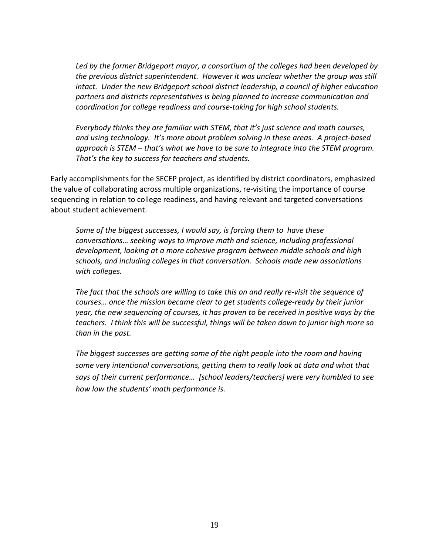*Led by the former Bridgeport mayor, a consortium of the colleges had been developed by the previous district superintendent. However it was unclear whether the group was still intact. Under the new Bridgeport school district leadership, a council of higher education partners and districts representatives is being planned to increase communication and coordination for college readiness and course-taking for high school students.* 

*Everybody thinks they are familiar with STEM, that it's just science and math courses, and using technology. It's more about problem solving in these areas. A project-based approach is STEM – that's what we have to be sure to integrate into the STEM program. That's the key to success for teachers and students.* 

Early accomplishments for the SECEP project, as identified by district coordinators, emphasized the value of collaborating across multiple organizations, re-visiting the importance of course sequencing in relation to college readiness, and having relevant and targeted conversations about student achievement.

*Some of the biggest successes, I would say, is forcing them to have these conversations… seeking ways to improve math and science, including professional development, looking at a more cohesive program between middle schools and high schools, and including colleges in that conversation. Schools made new associations with colleges.* 

*The fact that the schools are willing to take this on and really re-visit the sequence of courses… once the mission became clear to get students college-ready by their junior year, the new sequencing of courses, it has proven to be received in positive ways by the teachers. I think this will be successful, things will be taken down to junior high more so than in the past.*

*The biggest successes are getting some of the right people into the room and having some very intentional conversations, getting them to really look at data and what that says of their current performance… [school leaders/teachers] were very humbled to see how low the students' math performance is.*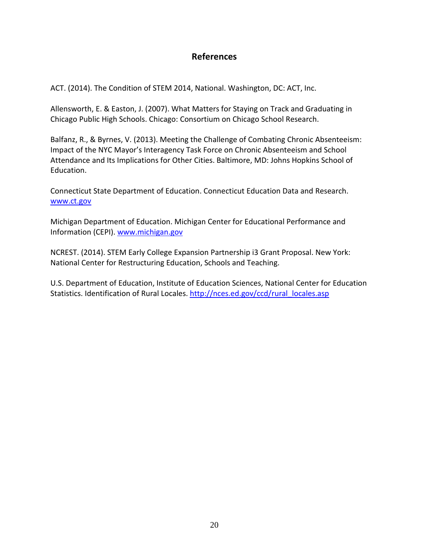## **References**

ACT. (2014). The Condition of STEM 2014, National. Washington, DC: ACT, Inc.

Allensworth, E. & Easton, J. (2007). What Matters for Staying on Track and Graduating in Chicago Public High Schools. Chicago: Consortium on Chicago School Research.

Balfanz, R., & Byrnes, V. (2013). Meeting the Challenge of Combating Chronic Absenteeism: Impact of the NYC Mayor's Interagency Task Force on Chronic Absenteeism and School Attendance and Its Implications for Other Cities. Baltimore, MD: Johns Hopkins School of Education.

Connecticut State Department of Education. Connecticut Education Data and Research. [www.ct.gov](http://www.ct.gov/)

Michigan Department of Education. Michigan Center for Educational Performance and Information (CEPI). [www.michigan.gov](http://www.michigan.gov/)

NCREST. (2014). STEM Early College Expansion Partnership i3 Grant Proposal. New York: National Center for Restructuring Education, Schools and Teaching.

U.S. Department of Education, Institute of Education Sciences, National Center for Education Statistics. Identification of Rural Locales. [http://nces.ed.gov/ccd/rural\\_locales.asp](http://nces.ed.gov/ccd/rural_locales.asp)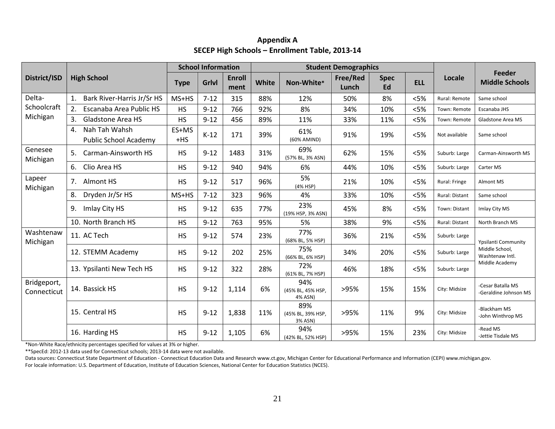|                            |                                              | <b>School Information</b> |          |                       |              | <b>Student Demographics</b>         |                   |                   |            |                |                                                                                   |
|----------------------------|----------------------------------------------|---------------------------|----------|-----------------------|--------------|-------------------------------------|-------------------|-------------------|------------|----------------|-----------------------------------------------------------------------------------|
| District/ISD               | <b>High School</b>                           | <b>Type</b>               | Grlvl    | <b>Enroll</b><br>ment | <b>White</b> | Non-White*                          | Free/Red<br>Lunch | <b>Spec</b><br>Ed | <b>ELL</b> | Locale         | Feeder<br><b>Middle Schools</b>                                                   |
| Delta-                     | Bark River-Harris Jr/Sr HS                   | MS+HS                     | $7 - 12$ | 315                   | 88%          | 12%                                 | 50%               | 8%                | < 5%       | Rural: Remote  | Same school                                                                       |
| Schoolcraft                | 2.<br>Escanaba Area Public HS                | <b>HS</b>                 | $9 - 12$ | 766                   | 92%          | 8%                                  | 34%               | 10%               | < 5%       | Town: Remote   | Escanaba JHS                                                                      |
| Michigan                   | <b>Gladstone Area HS</b><br>3.               | <b>HS</b>                 | $9 - 12$ | 456                   | 89%          | 11%                                 | 33%               | 11%               | < 5%       | Town: Remote   | Gladstone Area MS                                                                 |
|                            | Nah Tah Wahsh<br>4.<br>Public School Academy | ES+MS<br>$+HS$            | $K-12$   | 171                   | 39%          | 61%<br>(60% AMIND)                  | 91%               | 19%               | < 5%       | Not available  | Same school                                                                       |
| Genesee<br>Michigan        | Carman-Ainsworth HS<br>5.                    | <b>HS</b>                 | $9 - 12$ | 1483                  | 31%          | 69%<br>(57% BL, 3% ASN)             | 62%               | 15%               | < 5%       | Suburb: Large  | Carman-Ainsworth MS                                                               |
|                            | Clio Area HS<br>6.                           | <b>HS</b>                 | $9 - 12$ | 940                   | 94%          | 6%                                  | 44%               | 10%               | < 5%       | Suburb: Large  | Carter MS                                                                         |
| Lapeer<br>Michigan         | 7.<br>Almont HS                              | <b>HS</b>                 | $9 - 12$ | 517                   | 96%          | 5%<br>(4% HSP)                      | 21%               | 10%               | < 5%       | Rural: Fringe  | Almont MS                                                                         |
|                            | Dryden Jr/Sr HS<br>8.                        | MS+HS                     | $7 - 12$ | 323                   | 96%          | 4%                                  | 33%               | 10%               | < 5%       | Rural: Distant | Same school                                                                       |
|                            | Imlay City HS<br>9.                          | <b>HS</b>                 | $9 - 12$ | 635                   | 77%          | 23%<br>(19% HSP, 3% ASN)            | 45%               | 8%                | $<$ 5%     | Town: Distant  | Imlay City MS                                                                     |
|                            | 10. North Branch HS                          | <b>HS</b>                 | $9 - 12$ | 763                   | 95%          | 5%                                  | 38%               | 9%                | < 5%       | Rural: Distant | North Branch MS                                                                   |
| Washtenaw<br>Michigan      | 11. AC Tech                                  | <b>HS</b>                 | $9 - 12$ | 574                   | 23%          | 77%<br>(68% BL, 5% HSP)             | 36%               | 21%               | < 5%       | Suburb: Large  | <b>Ypsilanti Community</b><br>Middle School,<br>Washtenaw Intl.<br>Middle Academy |
|                            | 12. STEMM Academy                            | <b>HS</b>                 | $9 - 12$ | 202                   | 25%          | 75%<br>(66% BL, 6% HSP)             | 34%               | 20%               | < 5%       | Suburb: Large  |                                                                                   |
|                            | 13. Ypsilanti New Tech HS                    | <b>HS</b>                 | $9 - 12$ | 322                   | 28%          | 72%<br>(61% BL, 7% HSP)             | 46%               | 18%               | < 5%       | Suburb: Large  |                                                                                   |
| Bridgeport,<br>Connecticut | 14. Bassick HS                               | <b>HS</b>                 | $9 - 12$ | 1,114                 | 6%           | 94%<br>(45% BL, 45% HSP,<br>4% ASN) | >95%              | 15%               | 15%        | City: Midsize  | -Cesar Batalla MS<br>-Geraldine Johnson MS                                        |
|                            | 15. Central HS                               | <b>HS</b>                 | $9 - 12$ | 1,838                 | 11%          | 89%<br>(45% BL, 39% HSP,<br>3% ASN) | >95%              | 11%               | 9%         | City: Midsize  | -Blackham MS<br>-John Winthrop MS                                                 |
|                            | 16. Harding HS                               | <b>HS</b>                 | $9 - 12$ | 1,105                 | 6%           | 94%<br>(42% BL, 52% HSP)            | >95%              | 15%               | 23%        | City: Midsize  | -Read MS<br>-Jettie Tisdale MS                                                    |

## **Appendix A SECEP High Schools – Enrollment Table, 2013-14**

\*Non-White Race/ethnicity percentages specified for values at 3% or higher.

\*\*SpecEd: 2012-13 data used for Connecticut schools; 2013-14 data were not available.

Data sources: Connecticut State Department of Education - Connecticut Education Data and Research www.ct.gov, Michigan Center for Educational Performance and Information (CEPI) www.michigan.gov. For locale information: U.S. Department of Education, Institute of Education Sciences, National Center for Education Statistics (NCES).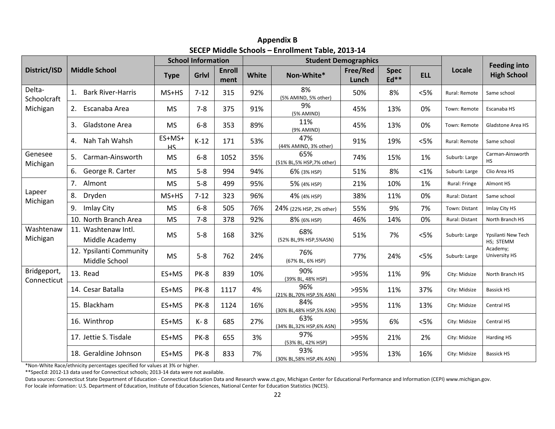|                            |                                          | <b>School Information</b> |             |                       |       | <b>Student Demographics</b>      |                   |                       |            |                |                                           |
|----------------------------|------------------------------------------|---------------------------|-------------|-----------------------|-------|----------------------------------|-------------------|-----------------------|------------|----------------|-------------------------------------------|
| District/ISD               | <b>Middle School</b>                     | <b>Type</b>               | Grlvl       | <b>Enroll</b><br>ment | White | Non-White*                       | Free/Red<br>Lunch | <b>Spec</b><br>$Ed**$ | <b>ELL</b> | Locale         | <b>Feeding into</b><br><b>High School</b> |
| Delta-<br>Schoolcraft      | 1. Bark River-Harris                     | MS+HS                     | $7 - 12$    | 315                   | 92%   | 8%<br>(5% AMIND, 5% other)       | 50%               | 8%                    | < 5%       | Rural: Remote  | Same school                               |
| Michigan                   | 2. Escanaba Area                         | <b>MS</b>                 | $7 - 8$     | 375                   | 91%   | 9%<br>(5% AMIND)                 | 45%               | 13%                   | 0%         | Town: Remote   | Escanaba HS                               |
|                            | 3.<br>Gladstone Area                     | <b>MS</b>                 | $6 - 8$     | 353                   | 89%   | 11%<br>(9% AMIND)                | 45%               | 13%                   | 0%         | Town: Remote   | Gladstone Area HS                         |
|                            | Nah Tah Wahsh<br>4.                      | ES+MS+<br>HS              | $K-12$      | 171                   | 53%   | 47%<br>(44% AMIND, 3% other)     | 91%               | 19%                   | < 5%       | Rural: Remote  | Same school                               |
| Genesee<br>Michigan        | Carman-Ainsworth                         | <b>MS</b>                 | $6 - 8$     | 1052                  | 35%   | 65%<br>(51% BL,5% HSP,7% other)  | 74%               | 15%                   | 1%         | Suburb: Large  | Carman-Ainsworth<br>HS                    |
|                            | 6.<br>George R. Carter                   | <b>MS</b>                 | $5 - 8$     | 994                   | 94%   | 6% (3% HSP)                      | 51%               | 8%                    | <1%        | Suburb: Large  | Clio Area HS                              |
|                            | 7.<br>Almont                             | <b>MS</b>                 | $5 - 8$     | 499                   | 95%   | 5% (4% HSP)                      | 21%               | 10%                   | 1%         | Rural: Fringe  | Almont HS                                 |
| Lapeer<br>Michigan         | 8.<br>Dryden                             | MS+HS                     | $7 - 12$    | 323                   | 96%   | 4% (4% HSP)                      | 38%               | 11%                   | 0%         | Rural: Distant | Same school                               |
|                            | 9. Imlay City                            | <b>MS</b>                 | $6-8$       | 505                   | 76%   | 24% (22% HSP, 2% other)          | 55%               | 9%                    | 7%         | Town: Distant  | Imlay City HS                             |
|                            | 10. North Branch Area                    | <b>MS</b>                 | $7 - 8$     | 378                   | 92%   | 8% (6% HSP)                      | 46%               | 14%                   | 0%         | Rural: Distant | North Branch HS                           |
| Washtenaw<br>Michigan      | 11. Washtenaw Intl.<br>Middle Academy    | <b>MS</b>                 | $5-8$       | 168                   | 32%   | 68%<br>(52% BL, 9% HSP, 5%ASN)   | 51%               | 7%                    | < 5%       | Suburb: Large  | Ypsilanti New Tech<br>HS; STEMM           |
|                            | 12. Ypsilanti Community<br>Middle School | <b>MS</b>                 | $5 - 8$     | 762                   | 24%   | 76%<br>(67% BL, 6% HSP)          | 77%               | 24%                   | < 5%       | Suburb: Large  | Academy;<br>University HS                 |
| Bridgeport,<br>Connecticut | 13. Read                                 | ES+MS                     | PK-8        | 839                   | 10%   | 90%<br>(39% BL, 48% HSP)         | >95%              | 11%                   | 9%         | City: Midsize  | North Branch HS                           |
|                            | 14. Cesar Batalla                        | ES+MS                     | PK-8        | 1117                  | 4%    | 96%<br>(21% BL.70% HSP.5% ASN)   | >95%              | 11%                   | 37%        | City: Midsize  | <b>Bassick HS</b>                         |
|                            | 15. Blackham                             | ES+MS                     | PK-8        | 1124                  | 16%   | 84%<br>(30% BL,48% HSP,5% ASN)   | >95%              | 11%                   | 13%        | City: Midsize  | Central HS                                |
|                            | 16. Winthrop                             | ES+MS                     | K-8         | 685                   | 27%   | 63%<br>(34% BL, 32% HSP, 6% ASN) | >95%              | 6%                    | < 5%       | City: Midsize  | Central HS                                |
|                            | 17. Jettie S. Tisdale                    | ES+MS                     | PK-8        | 655                   | 3%    | 97%<br>(53% BL, 42% HSP)         | >95%              | 21%                   | 2%         | City: Midsize  | Harding HS                                |
|                            | 18. Geraldine Johnson                    | ES+MS                     | <b>PK-8</b> | 833                   | 7%    | 93%<br>(30% BL,58% HSP,4% ASN)   | >95%              | 13%                   | 16%        | City: Midsize  | <b>Bassick HS</b>                         |

**Appendix B SECEP Middle Schools – Enrollment Table, 2013-14**

\*Non-White Race/ethnicity percentages specified for values at 3% or higher.

\*\*SpecEd: 2012-13 data used for Connecticut schools; 2013-14 data were not available.

Data sources: Connecticut State Department of Education - Connecticut Education Data and Research www.ct.gov, Michigan Center for Educational Performance and Information (CEPI) www.michigan.gov. For locale information: U.S. Department of Education, Institute of Education Sciences, National Center for Education Statistics (NCES).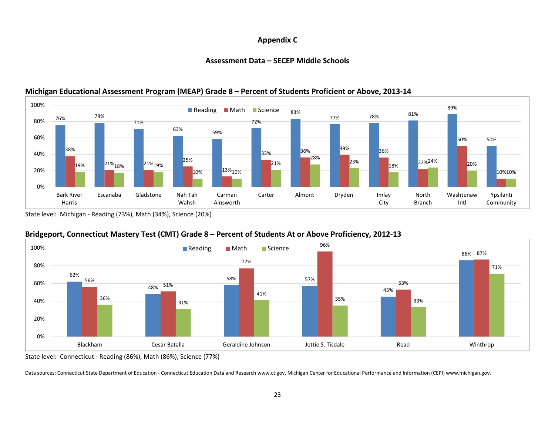#### **Appendix C**

#### **Assessment Data – SECEP Middle Schools**



#### **Michigan Educational Assessment Program (MEAP) Grade 8 – Percent of Students Proficient or Above, 2013-14**

State level: Michigan - Reading (73%), Math (34%), Science (20%)

#### **Bridgeport, Connecticut Mastery Test (CMT) Grade 8 – Percent of Students At or Above Proficiency, 2012-13**



State level: Connecticut - Reading (86%), Math (86%), Science (77%)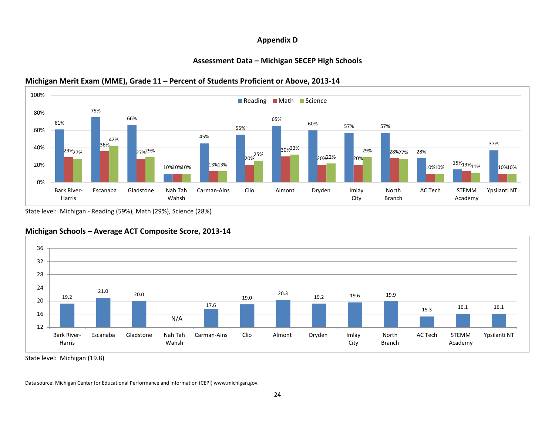#### **Appendix D**

#### **Assessment Data – Michigan SECEP High Schools**

#### 61% 75% 66% 10%10%10% 13% 45% 55% 65% 60% 57% 57% 28%  $10\%10\% \quad \frac{15\%13\%11\%}{10\%10\%} \quad 10\%10\%$ 37% 29% 27% 36% 27% 29% 20% 25% 30% 32% 20%<sup>22%</sup> 20% 28% 29% 27% 42% 13% 13% 0% 20% 40% 60% 80% 100% Bark River-Harris Escanaba Gladstone Nah Tah Wahsh Carman-Ains Clio Almont Dryden Imlay City North Branch AC Tech STEMM Academy Ypsilanti NT Reading Math Science

#### **Michigan Merit Exam (MME), Grade 11 – Percent of Students Proficient or Above, 2013-14**

State level: Michigan - Reading (59%), Math (29%), Science (28%)



### **Michigan Schools – Average ACT Composite Score, 2013-14**

State level: Michigan (19.8)

Data source: Michigan Center for Educational Performance and Information (CEPI) www.michigan.gov.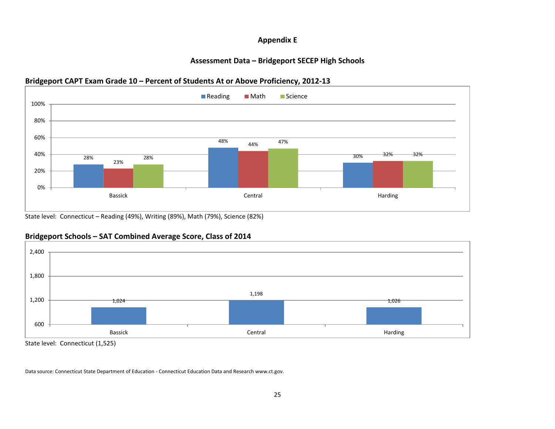### **Appendix E**

#### **Assessment Data – Bridgeport SECEP High Schools**

#### **Bridgeport CAPT Exam Grade 10 – Percent of Students At or Above Proficiency, 2012-13**



State level: Connecticut – Reading (49%), Writing (89%), Math (79%), Science (82%)



#### **Bridgeport Schools – SAT Combined Average Score, Class of 2014**

State level: Connecticut (1,525)

Data source: Connecticut State Department of Education - Connecticut Education Data and Research www.ct.gov.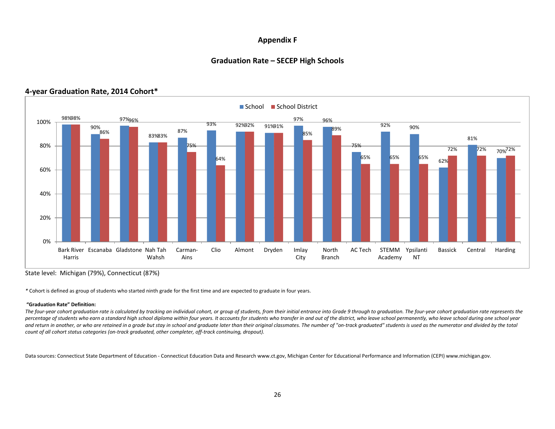#### **Appendix F**

#### **Graduation Rate – SECEP High Schools**



#### **4-year Graduation Rate, 2014 Cohort\***

State level: Michigan (79%), Connecticut (87%)

*\** Cohort is defined as group of students who started ninth grade for the first time and are expected to graduate in four years.

#### **"Graduation Rate" Definition:**

The four-year cohort graduation rate is calculated by tracking an individual cohort, or group of students, from their initial entrance into Grade 9 through to graduation. The four-year cohort graduation rate represents the percentage of students who earn a standard high school diploma within four years. It accounts for students who transfer in and out of the district, who leave school permanently, who leave school during one school year and return in another, or who are retained in a grade but stay in school and graduate later than their original classmates. The number of "on-track graduated" students is used as the numerator and divided by the total *count of all cohort status categories (on-track graduated, other completer, off-track continuing, dropout).*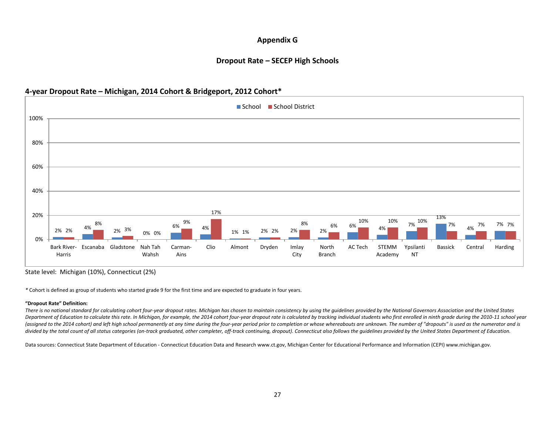#### **Appendix G**

#### **Dropout Rate – SECEP High Schools**

#### **4-year Dropout Rate – Michigan, 2014 Cohort & Bridgeport, 2012 Cohort\***



State level: Michigan (10%), Connecticut (2%)

*\** Cohort is defined as group of students who started grade 9 for the first time and are expected to graduate in four years.

#### **"Dropout Rate" Definition:**

There is no national standard for calculating cohort four-year dropout rates. Michigan has chosen to maintain consistency by using the guidelines provided by the National Governors Association and the United States Department of Education to calculate this rate. In Michigan, for example, the 2014 cohort four-year dropout rate is calculated by tracking individual students who first enrolled in ninth grade during the 2010-11 school yea *(assigned to the 2014 cohort) and left high school permanently at any time during the four-year period prior to completion or whose whereabouts are unknown. The number of "dropouts" is used as the numerator and is divided by the total count of all status categories (on-track graduated, other completer, off-track continuing, dropout). Connecticut also follows the guidelines provided by the United States Department of Education.*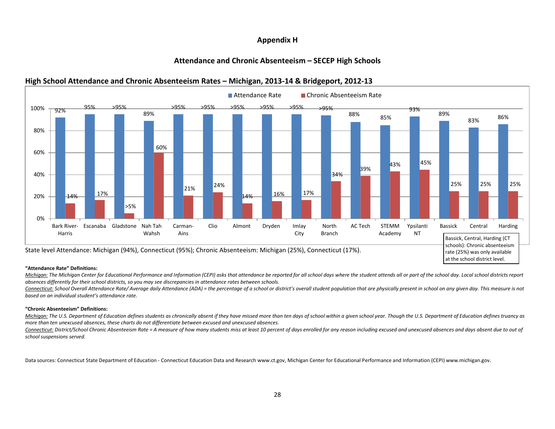#### **Appendix H**

#### **Attendance and Chronic Absenteeism – SECEP High Schools**



#### **High School Attendance and Chronic Absenteeism Rates – Michigan, 2013-14 & Bridgeport, 2012-13**

#### **"Attendance Rate" Definitions:**

Michigan: The Michigan Center for Educational Performance and Information (CEPI) asks that attendance be reported for all school days where the student attends all or part of the school day. Local school districts report *absences differently for their school districts, so you may see discrepancies in attendance rates between schools.*

Connecticut: School Overall Attendance Rate/ Average daily Attendance (ADA) = the percentage of a school or district's overall student population that are physically present in school on any given day. This measure is not *based on an individual student's attendance rate.* 

#### **"Chronic Absenteeism" Definitions:**

Michigan: The U.S. Department of Education defines students as chronically absent if they have missed more than ten days of school within a given school year. Though the U.S. Department of Education defines truancy as *more than ten unexcused absences, these charts do not differentiate between excused and unexcused absences.*

Connecticut: District/School Chronic Absenteeism Rate = A measure of how many students miss at least 10 percent of days enrolled for any reason including excused and unexcused absences and days absent due to out of *school suspensions served.*